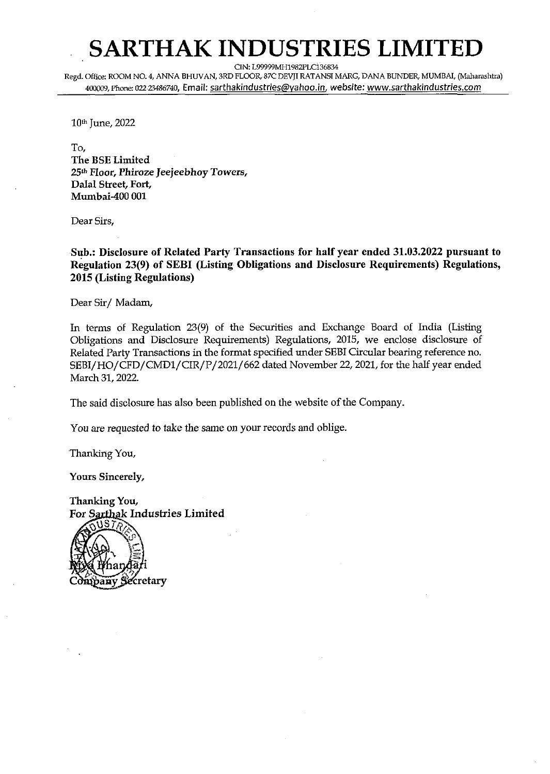## **SARTHAK INDUSTRIES LIMITED**

CIN: L99999MH1982PLC136834

Regd. Office: ROOM NO. **4,** ANNA BHWAN, 3RD FLOOR, 87C DEVJI RATANSI MARG, DANA BUNDER, MUMBAI, (Maharashtra) 4WOG9,Phone: **02221486740,** Email: sarthakindustries@vahoo.in, website: www.sarthakindustries.com

10th June, 2022

To, The BSE Limited *25th* Floor, Phiroze Jeejeebhoy Towers, Dalal Street, Fort, Mumbai-400 001

Dear Sirs.

Sub.: Disclosure of Related Party Transactions for half year ended 31.03.2022 pursuant to Regulation 23(9) of SEBI (Listing Obligations and Disclosure Requirements) Regulations, 2015 (Listing Regulations)

Dear Sir/ Madam,

In terms of Regulation 23(9) of the Securities and Exchange Board of India (Listing Obligations and Disclosure Requirements) Regulations, 2015, we enclose disclosure of Related Party Transactions in the format specified under SEBI Circular bearing reference no. **SEBI/HO/CFD/CMDl/CIR/P/2021/662** dated November 22,2021, for the half year ended March 31, 2022.

The said disclosure has also been published on the website of the Company.

You are requested to take the same on your records and oblige.

'Thanking You,

Yours Sincerely,

Thankine You. For Sarthak Industries Limited